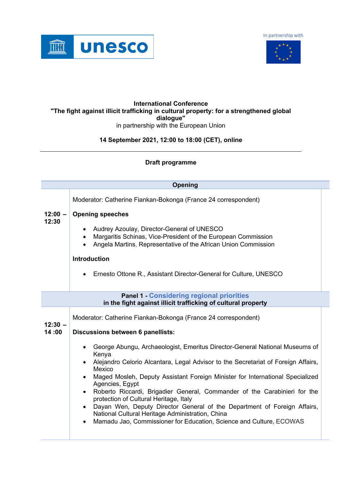In partnership with





## **International Conference "The fight against illicit trafficking in cultural property: for a strengthened global dialogue"** in partnership with the European Union

## **14 September 2021, 12:00 to 18:00 (CET), online**

## **Draft programme**

| <b>Opening</b>                                                |                                                                                                                                                                                                         |  |
|---------------------------------------------------------------|---------------------------------------------------------------------------------------------------------------------------------------------------------------------------------------------------------|--|
|                                                               | Moderator: Catherine Fiankan-Bokonga (France 24 correspondent)                                                                                                                                          |  |
| $12:00 -$<br>12:30                                            | <b>Opening speeches</b>                                                                                                                                                                                 |  |
|                                                               | Audrey Azoulay, Director-General of UNESCO<br>$\bullet$<br>Margaritis Schinas, Vice-President of the European Commission<br>$\bullet$<br>Angela Martins, Representative of the African Union Commission |  |
|                                                               | <b>Introduction</b>                                                                                                                                                                                     |  |
|                                                               | Ernesto Ottone R., Assistant Director-General for Culture, UNESCO                                                                                                                                       |  |
| <b>Panel 1 - Considering regional priorities</b>              |                                                                                                                                                                                                         |  |
| in the fight against illicit trafficking of cultural property |                                                                                                                                                                                                         |  |
| $12:30 -$                                                     | Moderator: Catherine Fiankan-Bokonga (France 24 correspondent)                                                                                                                                          |  |
| 14:00                                                         | Discussions between 6 panellists:                                                                                                                                                                       |  |
|                                                               | George Abungu, Archaeologist, Emeritus Director-General National Museums of<br>Kenya                                                                                                                    |  |
|                                                               | Alejandro Celorio Alcantara, Legal Advisor to the Secretariat of Foreign Affairs,<br>$\bullet$<br>Mexico                                                                                                |  |
|                                                               | Maged Mosleh, Deputy Assistant Foreign Minister for International Specialized<br>$\bullet$<br>Agencies, Egypt                                                                                           |  |
|                                                               | Roberto Riccardi, Brigadier General, Commander of the Carabinieri for the<br>$\bullet$<br>protection of Cultural Heritage, Italy                                                                        |  |
|                                                               | Dayan Wen, Deputy Director General of the Department of Foreign Affairs,<br>$\bullet$<br>National Cultural Heritage Administration, China                                                               |  |
|                                                               | Mamadu Jao, Commissioner for Education, Science and Culture, ECOWAS<br>٠                                                                                                                                |  |